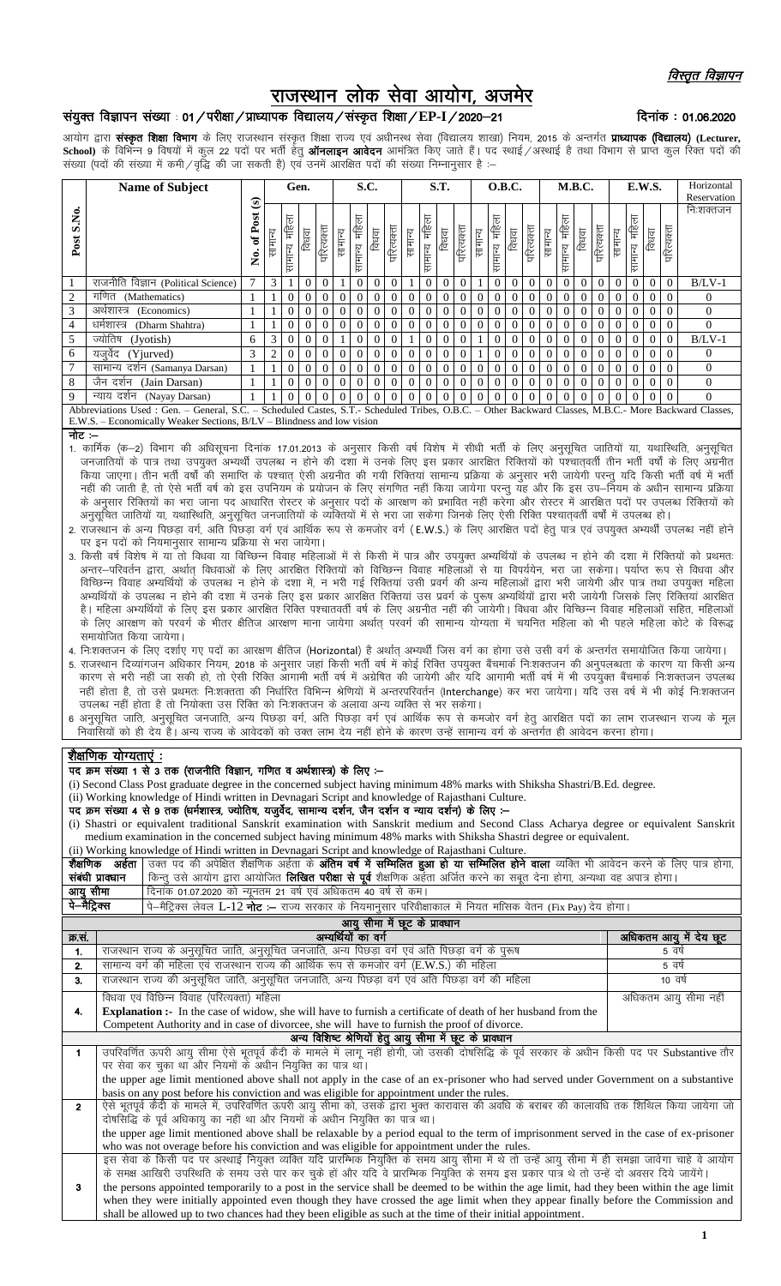# राजस्थान लोक सेवा आयोग, अजमेर

# संयुक्त विज्ञापन संख्या : 01 / परीक्षा / प्राध्यापक विद्यालय / संस्कृत शिक्षा / EP-I / 2020–21

## दिनांक: 01.06.2020

आयोग द्वारा संस्कृत शिक्षा विभाग के लिए राजस्थान संस्कृत शिक्षा राज्य एवं अधीनस्थ सेवा (विद्यालय शाखा) नियम, 2015 के अन्तर्गत प्राध्यापक (विद्यालय) (Lecturer, School) के विभिन्न 9 विषयों में कुल 22 पदों पर भर्ती हेतु **ऑनलाइन आवेदन** आमंत्रित किए जाते हैं। पद स्थाई ⁄अस्थाई है तथा विभाग से प्राप्त कुल रिक्त पदों की ...<br>संख्या (पदों की संख्या में कमी / वृद्धि की जा सकती है) एवं उनमें आरक्षित पदों की संख्या निम्नानुसार है :-

|               | <b>Name of Subject</b>                                                                                                                                                                                                              |              | Gen.    |                   |                |                | S.C.           |                  |                |                | <b>S.T.</b> |                  |                | O.B.C.     |                |                       |          | M.B.C.         |                |                |                | E.W.S.         |                |                   |                | Horizontal |             |
|---------------|-------------------------------------------------------------------------------------------------------------------------------------------------------------------------------------------------------------------------------------|--------------|---------|-------------------|----------------|----------------|----------------|------------------|----------------|----------------|-------------|------------------|----------------|------------|----------------|-----------------------|----------|----------------|----------------|----------------|----------------|----------------|----------------|-------------------|----------------|------------|-------------|
|               |                                                                                                                                                                                                                                     | ଇ            |         |                   |                |                |                |                  |                |                |             |                  |                |            |                |                       |          |                |                |                |                |                |                |                   |                |            | Reservation |
| S.No.<br>Post |                                                                                                                                                                                                                                     | of Post<br>ż | सामान्य | ₹<br>倌<br>सामान्य | विधवा          | परित्यक्ता     | सामान्य        | महिला<br>सामान्य | विधवा          | परित्यक्ता     | सामान्य     | महिला<br>सामान्य | विधवा          | परित्यक्ता | सामान्य        | 貨<br><u>la H</u><br>눈 | विधवा    | परित्यक्ता     | सामान्य        | 倌<br>सामान्य   | विधवा          | परित्यक्ता     | सामान्य        | 卮<br>貨<br>सामान्य | विधवा          | परित्यक्ता | निःशक्तजन   |
|               | राजनीति विज्ञान (Political Science)                                                                                                                                                                                                 |              | 3       |                   | $\theta$       | $\overline{0}$ |                | $\overline{0}$   | $\overline{0}$ | $\Omega$       |             | $\Omega$         | $\overline{0}$ | 0          |                |                       | $\Omega$ | $\overline{0}$ | $\Omega$       | $\Omega$       | $\Omega$       | $\theta$       | $\overline{0}$ | $\overline{0}$    | $\overline{0}$ | $\Omega$   | $B/LV-1$    |
| 2             | गणित<br>(Mathematics)                                                                                                                                                                                                               |              |         | $\mathbf{0}$      | 0              | $\overline{0}$ |                | $\theta$         | $\overline{0}$ |                |             | $\boldsymbol{0}$ | $\overline{0}$ | 0          | $\bf{0}$       |                       |          | $\overline{0}$ | 0              |                |                | 0              | $\overline{0}$ | $\overline{0}$    | $\overline{0}$ |            | 0           |
| 3             | अर्थशास्त्र<br>(Economics)                                                                                                                                                                                                          |              |         | $\theta$          | $\theta$       | $\overline{0}$ | $\overline{0}$ | $\overline{0}$   | $\overline{0}$ | $\theta$       | 0           | $\boldsymbol{0}$ | $\overline{0}$ | 0          | $\bf{0}$       |                       |          | $\overline{0}$ | $\overline{0}$ |                |                | 0              | $\overline{0}$ | $\theta$          | $\overline{0}$ |            | $\Omega$    |
| 4             | धर्मशास्त्र<br>(Dharm Shahtra)                                                                                                                                                                                                      |              |         | $\theta$          | $\theta$       | $\overline{0}$ | 0 <sup>1</sup> | $\overline{0}$   | $\overline{0}$ | $\theta$       |             | $\boldsymbol{0}$ | $\overline{0}$ | 0          | 0              |                       | 0        | $\overline{0}$ | $\overline{0}$ |                |                | 0              | $\overline{0}$ | $\overline{0}$    | $\overline{0}$ |            | $\Omega$    |
| 5             | ज्योतिष<br>(Jyotish)                                                                                                                                                                                                                | 6            | 3       | $\theta$          | $\theta$       | $\bf{0}$       |                | $\overline{0}$   | $\overline{0}$ | 0              |             | 0                | $\overline{0}$ | 0          |                |                       | $\Omega$ | $\overline{0}$ | $\Omega$       | $\theta$       | $\theta$       | $\theta$       | $\overline{0}$ | $\Omega$          | $\overline{0}$ | $\Omega$   | $B/LV-1$    |
| 6             | (Yjurved)<br>यजवेद                                                                                                                                                                                                                  | 3            | 2       | $\theta$          | $\theta$       | $\overline{0}$ | 0              | $\overline{0}$   | $\overline{0}$ | $\overline{0}$ | $\theta$    | $\theta$         | $\overline{0}$ | $^{(1)}$   |                |                       | 0        | $\Omega$       | $\Omega$       | $\bf{0}$       | $\overline{0}$ | $\theta$       | $\overline{0}$ | $\overline{0}$    | $\overline{0}$ |            | $\Omega$    |
| 7             | सामान्य दर्शन (Samanya Darsan)                                                                                                                                                                                                      |              |         | $\theta$          | $\overline{0}$ | $\overline{0}$ | $\Omega$       | $\overline{0}$   | $\overline{0}$ | $\overline{0}$ | $\theta$    | $\boldsymbol{0}$ | $\overline{0}$ | 0          | $\overline{0}$ |                       | 0        | $\overline{0}$ | $\Omega$       | $\overline{0}$ | $\overline{0}$ | $\overline{0}$ | $\overline{0}$ | $\overline{0}$    | $\overline{0}$ |            | $\Omega$    |
| 8             | जैन दर्शन<br>(Jain Darsan)                                                                                                                                                                                                          |              |         | $\Omega$          | $\theta$       | $\Omega$       | $\Omega$       | $\Omega$         | $\Omega$       | $\Omega$       | $\Omega$    | $\Omega$         | $\overline{0}$ | $\Omega$   | $\Omega$       |                       |          | $\Omega$       | $\Omega$       | $\Omega$       | $\theta$       | $\theta$       | $\overline{0}$ | $\Omega$          | $\Omega$       |            | $\Omega$    |
| 9             | न्याय दर्शन<br>(Nayay Darsan)                                                                                                                                                                                                       |              |         | $\Omega$          | $\Omega$       | 0              |                |                  |                |                | $\Omega$    |                  | $\Omega$       | 0          |                |                       |          | 0              | 0              |                |                | $\theta$       | $\Omega$       | $\Omega$          | $\Omega$       |            | $\Omega$    |
|               | Abbreviations Used: Gen. – General, S.C. – Scheduled Castes, S.T.- Scheduled Tribes, O.B.C. – Other Backward Classes, M.B.C.- More Backward Classes,<br>E.W.S. – Economically Weaker Sections, B/LV – Blindness and low vision<br>ŀ |              |         |                   |                |                |                |                  |                |                |             |                  |                |            |                |                       |          |                |                |                |                |                |                |                   |                |            |             |
|               |                                                                                                                                                                                                                                     |              |         |                   |                |                |                |                  |                |                |             |                  |                |            |                |                       |          |                |                |                |                |                |                |                   |                |            |             |

नोट :-

- 1. कार्मिक (क—2) विभाग की अधिसूचना दिनांक 17.01.2013 के अनुसार किसी वर्ष विशेष में सीधी भर्ती के लिए अनुसूचित जातियों या, यथास्थिति, अनुसूचित जनजातियों के पात्र तथा उपयुक्त अभ्यर्थी उपलब्ध न होने की दशा में उनके लिए इस प्रकार आरक्षित रिक्तियों को पश्चातवर्ती तीन भर्ती वर्षों के लिए अग्रनीत किया जाएगा। तीन भर्ती वर्षों की समाप्ति के पश्चात् ऐसी अग्रनीत की गयी रिक्तियां सामान्य प्रक्रिया के अनुसार भरी जायेगी परन्तु यदि किसी भर्ती वर्ष में भर्ती नहीं की जाती है, तो ऐसे भर्ती वर्ष को इस उपनियम के प्रयोजन के लिए संगणित नहीं किया जायेगा परन्तु यह और कि इस उप—नियम के अधीन सामान्य प्रक्रिया के अनुसार रिक्तियों का भरा जाना पद आधारित रोस्टर के अनुसार पदों के आरक्षण को प्रभावित नहीं करेगा और रोस्टर में आरक्षित पदों पर उपलब्ध रिक्तियों को
- 2. राजस्थान के अन्य पिछड़ा वर्ग, अति पिछड़ा वर्ग एवं आर्थिक रूप से कमजोर वर्ग (E.W.S.) के लिए आरक्षित पदों हेतु पात्र एवं उपयुक्त अभ्यर्थी उपलब्ध नहीं होने पर इन पदों को नियमानुसार सामान्य प्रक्रिया से भरा जायेगा।
- 3. किसी वर्ष विशेष में या तो विधवा या विच्छिन्न विवाह महिलाओं में से किसी में पात्र और उपयुक्त अभ्यर्थियों के उपलब्ध न होने की दशा में रिक्तियों को प्रथमतः अन्तर–परिवर्तन द्वारा, अर्थात् विधवाओं के लिए आरक्षित रिक्तियों को विच्छिन्न विवाह महिलाओं से या विपर्ययेन, भरा जा सकेगा। पर्याप्त रूप से विधवा और विच्छिन्न विवाह अभ्यर्थियों के उपलब्ध न होने के दशा में, न भरी गई रिक्तियां उसी प्रवर्ग की अन्य महिलाओं द्वारा भरी जायेगी और पात्र तथा उपयुक्त महिला अभ्यर्थियों के उपलब्ध न होने की दशा में उनके लिए इस प्रकार आरक्षित रिक्तियां उस प्रवर्ग के पुरूष अभ्यर्थियों द्वारा भरी जायेगी जिसके लिए रिक्तियां आरक्षित है। महिला अभ्यर्थियों के लिए इस प्रकार आरक्षित रिक्ति पश्चातवर्ती वर्ष के लिए अग्रनीत नहीं की जायेगी। विधवा और विच्छिन्न विवाह महिलाओं सहित, महिलाओं के लिए आरक्षण को परवर्ग के भीतर क्षैतिज आरक्षण माना जायेगा अर्थात परवर्ग की सामान्य योग्यता में चयनित महिला को भी पहले महिला कोटे के विरूद्ध समायोजित किया जायेगा।
- 4. नि:शक्तजन के लिए दर्शाए गए पदों का आरक्षण क्षैतिज (Horizontal) है अर्थात् अभ्यर्थी जिस वर्ग का होगा उसे उसी वर्ग के अन्तर्गत समायोजित किया जायेगा।
- 5. राजस्थान दिव्यांगजन अधिकार नियम, 2018 के अनुसार जहां किसी भर्ती वर्ष में कोई रिक्ति उपयुक्त बैंचमार्क निःशक्तजन की अनुपलब्धता के कारण या किसी अन्य कारण से भरी नहीं जा सकी हो, तो ऐसी रिक्ति आगामी भर्ती वर्ष में अग्रेषित की जायेगी और यदि आगामी भर्ती वर्ष में भी उपयुक्त बैंचमार्क निःशक्तजन उपलब्ध नहीं होता है, तो उसे प्रथमतः निःशक्तता की निर्धारित विभिन्न श्रेणियों में अन्तरपरिवर्तन (Interchange) कर भरा जायेगा। यदि उस वर्ष में भी कोई निःशक्तजन उपलब्ध नहीं होता है तो नियोक्ता उस रिक्ति को निःशक्तजन के अलावा अन्य व्यक्ति से भर सकेगा।
- 6 अनुसूचित जाति, अनुसूचित जनजाति, अन्य पिछड़ा वर्ग, अति पिछड़ा वर्ग एवं आर्थिक रूप से कमजोर वर्ग हेतु आरक्षित पदों का लाभ राजस्थान राज्य के मूल निवासियों को ही देय हैं। अन्य राज्य के आवेदकों को उक्त लाभ देय नहीं होने के कारण उन्हें सामान्य वर्ग के अन्तर्गत ही आवेदन करना होगा।

# <u>शैक्षणिक योग्यताएं :</u>

#### पद क्रम संख्या 1 से 3 तक (राजनीति विज्ञान, गणित व अर्थशास्त्र) के लिए :-

- (i) Second Class Post graduate degree in the concerned subject having minimum 48% marks with Shiksha Shastri/B.Ed. degree.
- (ii) Working knowledge of Hindi written in Devnagari Script and knowledge of Rajasthani Culture.
- पद क्रम संख्या 4 से 9 तक (धर्मशास्त्र, ज्योतिष, यजुर्वेद, सामान्य दर्शन, जैन दर्शन व न्याय दर्शन) के लिए :-
- (i) Shastri or equivalent traditional Sanskrit examination with Sanskrit medium and Second Class Acharya degree or equivalent Sanskrit medium avamination in the concerned subject baying minimum 48% marks with Shiksha Shast

|                | medium examination in the concerned subject naving minimum 40% marks with Shiksha Shastri degree of equivalent.                                 |                                                                                                                                                |                        |  |  |  |  |  |  |
|----------------|-------------------------------------------------------------------------------------------------------------------------------------------------|------------------------------------------------------------------------------------------------------------------------------------------------|------------------------|--|--|--|--|--|--|
|                | (ii) Working knowledge of Hindi written in Devnagari Script and knowledge of Rajasthani Culture.                                                |                                                                                                                                                |                        |  |  |  |  |  |  |
|                | शैक्षणिक अर्हता                                                                                                                                 | उक्त पद की अपेक्षित शैक्षणिक अर्हता के <b>अंतिम वर्ष में सम्मिलित हुआ हो या सम्मिलित होने वाला</b> व्यक्ति भी आवेदन करने के लिए पात्र होगा,    |                        |  |  |  |  |  |  |
|                | संबंधी प्रावधान                                                                                                                                 | किन्तु उसे आयोग द्वारा आयोजित <b>लिखित परीक्षा से पूर्व</b> शैक्षणिक अर्हता अर्जित करने का सबूत देना होगा, अन्यथा वह अपात्र होगा।              |                        |  |  |  |  |  |  |
|                |                                                                                                                                                 | दिनांक 01.07.2020 को न्यूनतम 21 वर्ष एवं अधिकतम 40 वर्ष से कम।                                                                                 |                        |  |  |  |  |  |  |
|                | आयु सीमा<br>पे–मैट्रिक्स<br>पे—मैट्रिक्स लेवल L-12 <b>नोट :—</b> राज्य सरकार के नियमानुसार परिवीक्षाकाल में नियत मासिक वेतन (Fix Pay) देय होगा। |                                                                                                                                                |                        |  |  |  |  |  |  |
|                | आयु सीमा में छूट के प्रावधान                                                                                                                    |                                                                                                                                                |                        |  |  |  |  |  |  |
| क्र.सं.        |                                                                                                                                                 | अभ्यर्थियों का वर्ग                                                                                                                            | अधिकतम आयु में देय छूट |  |  |  |  |  |  |
| $\mathbf{1}$ . |                                                                                                                                                 | राजस्थान राज्य के अनुसूचित जाति, अनुसूचित जनजाति, अन्य पिछड़ा वर्ग एवं अति पिछड़ा वर्ग के पुरूष                                                | 5 वर्ष                 |  |  |  |  |  |  |
| 2.             |                                                                                                                                                 | सामान्य वर्ग की महिला एवं राजस्थान राज्य की आर्थिक रूप से कमजोर वर्ग (E.W.S.) की महिला                                                         | 5 वर्ष                 |  |  |  |  |  |  |
| 3.             |                                                                                                                                                 | राजस्थान राज्य की अनुसूचित जाति, अनुसूचित जनजाति, अन्य पिछड़ा वर्ग एवं अति पिछड़ा वर्ग की महिला                                                | 10 वर्ष                |  |  |  |  |  |  |
|                |                                                                                                                                                 | विधवा एवं विछिन्न विवाह (परित्यक्ता) महिला                                                                                                     | अधिकतम आयु सीमा नहीं   |  |  |  |  |  |  |
| 4.             |                                                                                                                                                 | <b>Explanation :-</b> In the case of widow, she will have to furnish a certificate of death of her husband from the                            |                        |  |  |  |  |  |  |
|                |                                                                                                                                                 | Competent Authority and in case of divorcee, she will have to furnish the proof of divorce.                                                    |                        |  |  |  |  |  |  |
|                |                                                                                                                                                 | अन्य विशिष्ट श्रेणियों हेतु आयु सीमा में छूट के प्रावधान                                                                                       |                        |  |  |  |  |  |  |
| 1              |                                                                                                                                                 | उपरिवर्णित ऊपरी आयु सीमा ऐसे भूतपूर्व कैदी के मामले में लागू नहीं होगी, जो उसकी दोषसिद्धि के पूर्व सरकार के अधीन किसी पद पर Substantive तौर    |                        |  |  |  |  |  |  |
|                |                                                                                                                                                 | पर सेवा कर चुका था और नियमों के अधीन नियुक्ति का पात्र था।                                                                                     |                        |  |  |  |  |  |  |
|                |                                                                                                                                                 | the upper age limit mentioned above shall not apply in the case of an ex-prisoner who had served under Government on a substantive             |                        |  |  |  |  |  |  |
|                |                                                                                                                                                 | basis on any post before his conviction and was eligible for appointment under the rules.                                                      |                        |  |  |  |  |  |  |
| $\overline{2}$ |                                                                                                                                                 | ऐसे भूतपूर्व कैदी के मामले में, उपरिवर्णित ऊपरी आयु सीमा को, उसके द्वारा भुक्त कारावास की अवधि के बराबर की कालावधि तक शिथिल किया जायेगा जो     |                        |  |  |  |  |  |  |
|                |                                                                                                                                                 | दोषसिद्धि के पूर्व अधिकायु का नहीं था और नियमों के अधीन नियुक्ति का पात्र था।                                                                  |                        |  |  |  |  |  |  |
|                |                                                                                                                                                 | the upper age limit mentioned above shall be relaxable by a period equal to the term of imprisonment served in the case of ex-prisoner         |                        |  |  |  |  |  |  |
|                |                                                                                                                                                 | who was not overage before his conviction and was eligible for appointment under the rules.                                                    |                        |  |  |  |  |  |  |
|                |                                                                                                                                                 | इस सेवा के किसी पद पर अस्थाई नियुक्त व्यक्ति यदि प्रारम्भिक नियुक्ति के समय आयु सीमा में थे तो उन्हें आयु सीमा में ही समझा जावेगा चाहे वे आयोग |                        |  |  |  |  |  |  |
|                |                                                                                                                                                 | के समक्ष आखिरी उपस्थिति के समय उसे पार कर चुके हों और यदि वे प्रारम्भिक नियुक्ति के समय इस प्रकार पात्र थे तो उन्हें दो अवसर दिये जायेंगे।     |                        |  |  |  |  |  |  |
| 3              |                                                                                                                                                 | the persons appointed temporarily to a post in the service shall be deemed to be within the age limit, had they been within the age limit      |                        |  |  |  |  |  |  |
|                |                                                                                                                                                 | when they were initially appointed even though they have crossed the age limit when they appear finally before the Commission and              |                        |  |  |  |  |  |  |
|                |                                                                                                                                                 | shall be allowed up to two chances had they been eligible as such at the time of their initial appointment.                                    |                        |  |  |  |  |  |  |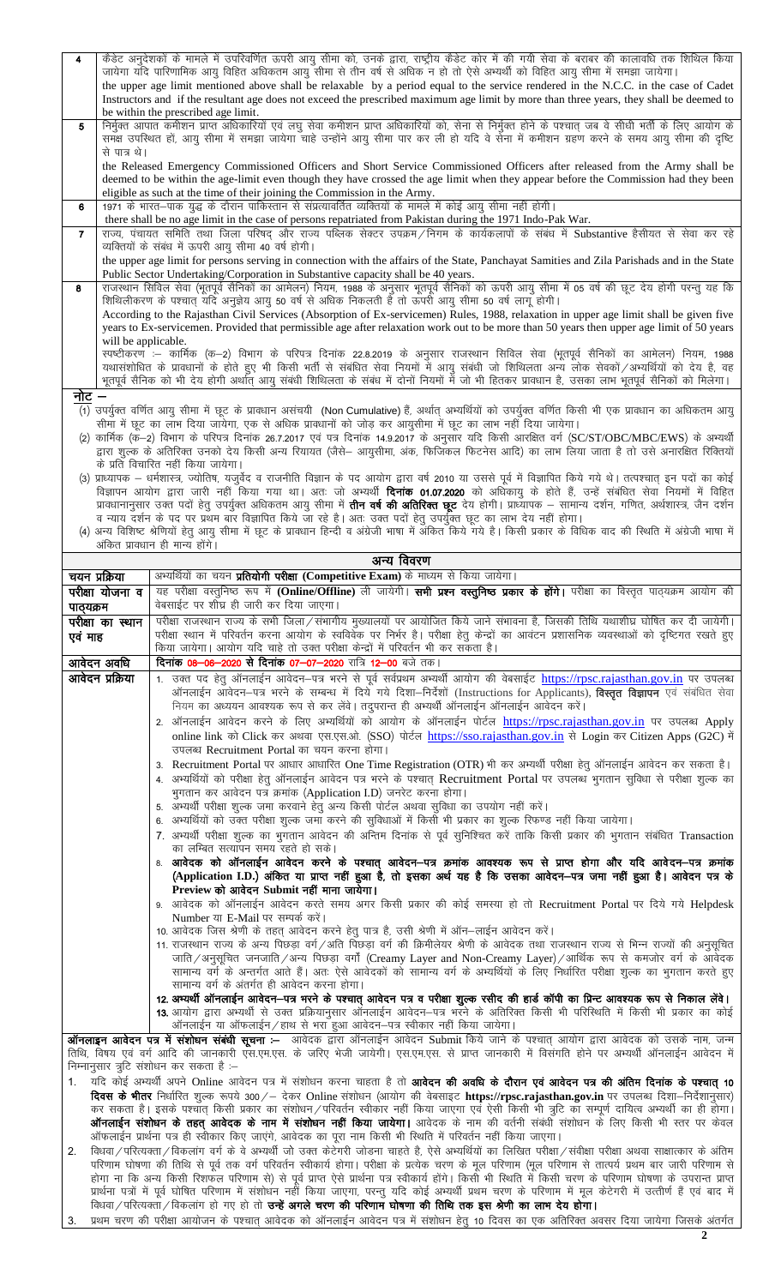| $\overline{\mathbf{4}}$ | केडेट अनुदेशकों के मामले में उपरिवर्णित ऊपरी आयु सीमा को, उनके द्वारा, राष्ट्रीय कैडेट कोर में की गयी सेवा के बराबर की कालावधि तक शिथिल किया             |
|-------------------------|----------------------------------------------------------------------------------------------------------------------------------------------------------|
|                         | जायेगा यदि पारिणामिक आयु विहित अधिकतम आयु सीमा से तीन वर्ष से अधिक न हो तो ऐसे अभ्यर्थी को विहित आयु सीमा में समझा जायेगा।                               |
|                         | the upper age limit mentioned above shall be relaxable by a period equal to the service rendered in the N.C.C. in the case of Cadet                      |
|                         | Instructors and if the resultant age does not exceed the prescribed maximum age limit by more than three years, they shall be deemed to                  |
|                         | be within the prescribed age limit.                                                                                                                      |
| 5                       | निर्मुक्त आपात कमीशन प्राप्त अधिकारियों एवं लघु सेवा कमीशन प्राप्त अधिकारियों को, सेना से निर्मुक्त होने के पश्चात् जब वे सीधी भर्ती के लिए आयोग के      |
|                         | समक्ष उपस्थित हों, आयु सीमा में समझा जायेगा चाहे उन्होंने आयु सीमा पार कर ली हो यदि वे सेना में कमीशन ग्रहण करने के समय आयु सीमा की दृष्टि               |
|                         | से पात्र थे।                                                                                                                                             |
|                         | the Released Emergency Commissioned Officers and Short Service Commissioned Officers after released from the Army shall be                               |
|                         | deemed to be within the age-limit even though they have crossed the age limit when they appear before the Commission had they been                       |
|                         | eligible as such at the time of their joining the Commission in the Army.                                                                                |
| 6                       | 1971 के भारत—पाक युद्ध के दौरान पाकिस्तान से संप्रत्यावर्तित व्यक्तियों के मामले में कोई आयु सीमा नहीं होगी।                                             |
|                         | there shall be no age limit in the case of persons repatriated from Pakistan during the 1971 Indo-Pak War.                                               |
| $\mathbf{7}$            | राज्य, पंचायत समिति तथा जिला परिषद और राज्य पब्लिक सेक्टर उपक्रम/निगम के कार्यकलापों के संबंध में Substantive हैसीयत से सेवा कर रहे                      |
|                         | व्यक्तियों के संबंध में ऊपरी आयु सीमा 40 वर्ष होगी।                                                                                                      |
|                         | the upper age limit for persons serving in connection with the affairs of the State, Panchayat Samities and Zila Parishads and in the State              |
|                         | Public Sector Undertaking/Corporation in Substantive capacity shall be 40 years.                                                                         |
| 8                       | राजस्थान सिविल सेवा (भूतपूर्व सैनिकों का आमेलन) नियम, 1988 के अनुसार भूतपूर्व सैनिकों को ऊपरी आयु सीमा में 05 वर्ष की छूट देय होगी परन्तु यह कि          |
|                         | शिथिलीकरण के पश्चात यदि अनुज्ञेय आयु 50 वर्ष से अधिक निकलती है तो ऊपरी आयु सीमा 50 वर्ष लागू होगी।                                                       |
|                         | According to the Rajasthan Civil Services (Absorption of Ex-servicemen) Rules, 1988, relaxation in upper age limit shall be given five                   |
|                         | years to Ex-servicemen. Provided that permissible age after relaxation work out to be more than 50 years then upper age limit of 50 years                |
|                         | will be applicable.                                                                                                                                      |
|                         | स्पष्टीकरण :– कार्मिक (क—2) विभाग के परिपत्र दिनांक 22.8.2019 के अनुसार राजस्थान सिविल सेवा (भूतपूर्व सैनिकों का आमेलन) नियम, 1988                       |
|                         | यथासंशोधित के प्रावधानों के होते हुए भी किसी भर्ती से संबंधित सेवा नियमों में आयु संबंधी जो शिथिलता अन्य लोक सेवकों/अभ्यर्थियों को देय है, वह            |
|                         | भूतपूर्व सैनिक को भी देय होगी अर्थात् आयु संबंधी शिथिलता के संबंध में दोनों नियमों में जो भी हितकर प्रावधान है, उसका लाभ भूतपूर्व सैनिकों को मिलेगा।     |
| नोट                     |                                                                                                                                                          |
|                         | (1) उपर्युक्त वर्णित आयु सीमा में छूट के प्रावधान असंचयी (Non Cumulative) हैं, अर्थात् अभ्यर्थियों को उपर्युक्त वर्णित किसी भी एक प्रावधान का अधिकतम आयु |
|                         | ਕੀਸ਼ਾ ਸੇਂ ਯੂਟ ਨਾ ਕਾਬ ਟਿਸ਼ਾ ਰਾਸੇਸ਼ਾ, ਸਨ ਦੇ ਪਾਉਨ ਸ਼ਾਰਾਜਰੇਂ ਨੀ ਰਹੇਟ ਨੂੰਦੇ ਪੁਸ਼ਾਦੀਸ਼ ਸੇਂ ਯੂਟ ਨਾ ਕਾਬ ਜਦੋਂ ਟਿਸ਼ਾ ਰਾਸੇਸ                                         |

- सीमा में छूट का लाभ दिया जायेगा, एक से अधिक प्रावधानों को जोड़ कर आयुसीमा में छूट का लाभ नहीं दिया जायेगा।<br>(2) कार्मिक (क—2) विभाग के परिपत्र दिनांक 26.7.2017 एवं पत्र दिनांक 14.9.2017 के अनुसार यदि किसी आरक्षित वर्ग (SC/ के प्रति विचारित नहीं किया जायेगा।
- (3) प्राध्यापक धर्मशास्त्र, ज्योतिष, यजुर्वेद व राजनीति विज्ञान के पद आयोग द्वारा वर्ष 2010 या उससे पूर्व में विज्ञापित किये गये थे। तत्पश्चात् इन पदों का कोई<br>विज्ञापन आयोग द्वारा जारी नहीं किया गया था। अतः जो अभ्यर्थी
- व न्याय दर्शन के पद पर प्रथम बार विज्ञापित किये जा रहे है। अतः उक्त पदों हेतु उपर्युक्त छूट का लाभ देय नहीं होगा।<br>(4) अन्य विशिष्ट श्रेणियों हेतु आयु सीमा में छूट के प्रावधान हिन्दी व अंग्रेजी भाषा में अंकित किये गये है। अंकित प्रावधान ही मान्य होंगे।

|                                                                                                                                                                                                                                                        | अन्य ।पपरण                                                                                                                                                                                                                                |  |  |  |  |
|--------------------------------------------------------------------------------------------------------------------------------------------------------------------------------------------------------------------------------------------------------|-------------------------------------------------------------------------------------------------------------------------------------------------------------------------------------------------------------------------------------------|--|--|--|--|
| चयन प्रक्रिया                                                                                                                                                                                                                                          | अभ्यर्थियों का चयन प्रतियोगी परीक्षा (Competitive Exam) के माध्यम से किया जायेगा।                                                                                                                                                         |  |  |  |  |
| परीक्षा योजना व                                                                                                                                                                                                                                        | यह परीक्षा वस्तुनिष्ठ रूप में (Online/Offline) ली जायेगी। सभी प्रश्न वस्तुनिष्ठ प्रकार के होंगे। परीक्षा का विस्तृत पाठ्यक्रम आयोग की                                                                                                     |  |  |  |  |
| पाठ्यक्रम                                                                                                                                                                                                                                              | वेबसाईट पर शीघ्र ही जारी कर दिया जाएगा।                                                                                                                                                                                                   |  |  |  |  |
| परीक्षा का स्थान                                                                                                                                                                                                                                       | परीक्षा राजस्थान राज्य के सभी जिला/संभागीय मुख्यालयों पर आयोजित किये जाने संभावना है, जिसकी तिथि यथाशीघ्र घोषित कर दी जायेगी।                                                                                                             |  |  |  |  |
| एव माह                                                                                                                                                                                                                                                 | परीक्षा स्थान में परिवर्तन करना आयोग के स्वविवेक पर निर्भर है। परीक्षा हेतु केन्द्रों का आवंटन प्रशासनिक व्यवस्थाओं को दृष्टिगत रखते हुए                                                                                                  |  |  |  |  |
|                                                                                                                                                                                                                                                        | किया जायेगा। आयोग यदि चाहे तो उक्त परीक्षा केन्द्रों में परिवर्तन भी कर सकता है।                                                                                                                                                          |  |  |  |  |
| आवेदन अवधि                                                                                                                                                                                                                                             | <b>दिनांक 08-06-2020 से दिनांक 07-07-2020</b> रात्रि 12-00 बजे तक।                                                                                                                                                                        |  |  |  |  |
| आवेदन प्रक्रिया                                                                                                                                                                                                                                        | 1. उक्त पद हेतु ऑनलाईन आवेदन–पत्र भरने से पूर्व सर्वप्रथम अभ्यर्थी आयोग की वेबसाईट https://rpsc.rajasthan.gov.in पर उपलब्ध                                                                                                                |  |  |  |  |
|                                                                                                                                                                                                                                                        | ऑनलाईन आवेदन-पत्र भरने के सम्बन्ध में दिये गये दिशा-निर्देशों (Instructions for Applicants), विस्तृत विज्ञापन एवं संबंधित सेवा                                                                                                            |  |  |  |  |
|                                                                                                                                                                                                                                                        | नियम का अध्ययन आवश्यक रूप से कर लेंवे। तदुपरान्त ही अभ्यर्थी ऑनलाईन ऑनलाईन आवेदन करें।                                                                                                                                                    |  |  |  |  |
|                                                                                                                                                                                                                                                        | 2. ऑनलाईन आवेदन करने के लिए अभ्यर्थियों को आयोग के ऑनलाईन पोर्टल https://rpsc.rajasthan.gov.in पर उपलब्ध Apply                                                                                                                            |  |  |  |  |
|                                                                                                                                                                                                                                                        | online link को Click कर अथवा एस.एस.ओ. (SSO) पोर्टल https://sso.rajasthan.gov.in से Login कर Citizen Apps (G2C) में                                                                                                                        |  |  |  |  |
|                                                                                                                                                                                                                                                        | उपलब्ध Recruitment Portal का चयन करना होगा।                                                                                                                                                                                               |  |  |  |  |
|                                                                                                                                                                                                                                                        | 3. Recruitment Portal पर आधार आधारित One Time Registration (OTR) भी कर अभ्यर्थी परीक्षा हेतु ऑनलाईन आवेदन कर सकता है।                                                                                                                     |  |  |  |  |
|                                                                                                                                                                                                                                                        | 4. अभ्यर्थियों को परीक्षा हेतू ऑनलाईन आवेदन पत्र भरने के पश्चात् Recruitment Portal पर उपलब्ध भुगतान सुविधा से परीक्षा शुल्क का                                                                                                           |  |  |  |  |
|                                                                                                                                                                                                                                                        | भुगतान कर आवेदन पत्र क्रमांक (Application I.D) जनरेट करना होगा।                                                                                                                                                                           |  |  |  |  |
|                                                                                                                                                                                                                                                        | 5. अभ्यर्थी परीक्षा शुल्क जमा करवाने हेतु अन्य किसी पोर्टल अथवा सुविधा का उपयोग नहीं करें।                                                                                                                                                |  |  |  |  |
|                                                                                                                                                                                                                                                        | 6. अभ्यर्थियों को उक्त परीक्षा शुल्क जमा करने की सुविधाओं में किसी भी प्रकार का शुल्क रिफण्ड नहीं किया जायेगा।                                                                                                                            |  |  |  |  |
|                                                                                                                                                                                                                                                        | 7. अभ्यर्थी परीक्षा शुल्क का भुगतान आवेदन की अन्तिम दिनांक से पूर्व सुनिश्चित करें ताकि किसी प्रकार की भुगतान संबंधित Transaction                                                                                                         |  |  |  |  |
|                                                                                                                                                                                                                                                        | का लम्बित सत्यापन समय रहते हो सके।                                                                                                                                                                                                        |  |  |  |  |
|                                                                                                                                                                                                                                                        | 8. आवेदक को ऑनलाईन आवेदन करने के पश्चात् आवेदन—पत्र क्रमांक आवश्यक रूप से प्राप्त होगा और यदि आवेदन—पत्र क्रमांक<br>(Application I.D.) अंकित या प्राप्त नहीं हुआ है, तो इसका अर्थ यह है कि उसका आवेदन-पत्र जमा नहीं हुआ है। आवेदन पत्र के |  |  |  |  |
|                                                                                                                                                                                                                                                        | Preview को आवेदन Submit नहीं माना जायेगा।                                                                                                                                                                                                 |  |  |  |  |
|                                                                                                                                                                                                                                                        | 9. आवेदक को ऑनलाईन आवेदन करते समय अगर किसी प्रकार की कोई समस्या हो तो Recruitment Portal पर दिये गये Helpdesk                                                                                                                             |  |  |  |  |
|                                                                                                                                                                                                                                                        | Number या E-Mail पर सम्पर्क करें।                                                                                                                                                                                                         |  |  |  |  |
|                                                                                                                                                                                                                                                        | 10. आवेदक जिस श्रेणी के तहत् आवेदन करने हेतु पात्र है, उसी श्रेणी में ऑन-लाईन आवेदन करें।                                                                                                                                                 |  |  |  |  |
|                                                                                                                                                                                                                                                        | 11. राजस्थान राज्य के अन्य पिछड़ा वर्ग/अति पिछड़ा वर्ग की क्रिमीलेयर श्रेणी के आवेदक तथा राजस्थान राज्य से भिन्न राज्यों की अनुसूचित                                                                                                      |  |  |  |  |
|                                                                                                                                                                                                                                                        | जाति/अनुसूचित जनजाति/अन्य पिछड़ा वर्गों (Creamy Layer and Non-Creamy Layer)/आर्थिक रूप से कमजोर वर्ग के आवेदक                                                                                                                             |  |  |  |  |
|                                                                                                                                                                                                                                                        | सामान्य वर्ग के अन्तर्गत आते हैं। अतः ऐसे आवेदकों को सामान्य वर्ग के अभ्यर्थियों के लिए निर्धारित परीक्षा शुल्क का भुगतान करते हुए                                                                                                        |  |  |  |  |
|                                                                                                                                                                                                                                                        | सामान्य वर्ग के अंतर्गत ही आवेदन करना होगा।                                                                                                                                                                                               |  |  |  |  |
|                                                                                                                                                                                                                                                        | 12. अभ्यर्थी ऑनलाईन आवेदन-पत्र भरने के पश्चात् आवेदन पत्र व परीक्षा शुल्क रसीद की हार्ड कॉपी का प्रिन्ट आवश्यक रूप से निकाल लेंवे।                                                                                                        |  |  |  |  |
|                                                                                                                                                                                                                                                        | 13. आयोग द्वारा अभ्यर्थी से उक्त प्रक्रियानुसार ऑनलाईन आवेदन–पत्र भरने के अतिरिक्त किसी भी परिस्थिति में किसी भी प्रकार का कोई                                                                                                            |  |  |  |  |
|                                                                                                                                                                                                                                                        | ऑनलाईन या ऑफलाईन / हाथ से भरा हुआ आवेदन-पत्र स्वीकार नहीं किया जायेगा।                                                                                                                                                                    |  |  |  |  |
|                                                                                                                                                                                                                                                        | <b>ऑनलाइन आवेदन पत्र में संशोधन संबंधी सूचना :-</b> आवेदक द्वारा ऑनलाईन आवेदन Submit किये जाने के पश्चात् आयोग द्वारा आवेदक को उसके नाम, जन्म                                                                                             |  |  |  |  |
|                                                                                                                                                                                                                                                        | तिथि, विषय एवं वर्ग आदि की जानकारी एस.एम.एस. के जरिए भेजी जायेगी। एस.एम.एस. से प्राप्त जानकारी में विसंगति होने पर अभ्यर्थी ऑनलाईन आवेदन में                                                                                              |  |  |  |  |
|                                                                                                                                                                                                                                                        | निम्नानुसार त्रुटि संशोधन कर सकता है :-                                                                                                                                                                                                   |  |  |  |  |
| 1.                                                                                                                                                                                                                                                     | यदि कोई अभ्यर्थी अपने Online आवेदन पत्र में संशोधन करना चाहता है तो <b>आवेदन की अवधि के दौरान एवं आवेदन पत्र की अंतिम दिनांक के पश्चात् 10</b>                                                                                            |  |  |  |  |
|                                                                                                                                                                                                                                                        | दिवस के भीतर निर्धारित शुल्क रूपये 300/– देकर Online संशोधन (आयोग की वेबसाइट https://rpsc.rajasthan.gov.in पर उपलब्ध दिशा–निर्देशानुसार)                                                                                                  |  |  |  |  |
| कर सकता है। इसके पश्चात् किसी प्रकार का संशोधन/परिवर्तन स्वीकार नहीं किया जाएगा एवं ऐसी किसी भी त्रुटि का सम्पूर्ण दायित्व अभ्यर्थी का ही होगा।                                                                                                        |                                                                                                                                                                                                                                           |  |  |  |  |
| <b>ऑनलाईन संशोधन के तहत् आवेदक के नाम में संशोधन नहीं किया जायेगा।</b> आवेदक के नाम की वर्तनी संबंधी संशोधन के लिए किसी भी स्तर पर केवल<br>ऑफलाईन प्रार्थना पत्र ही स्वीकार किए जाएंगे, आवेदक का पूरा नाम किसी भी स्थिति में परिवर्तन नहीं किया जाएगा। |                                                                                                                                                                                                                                           |  |  |  |  |
|                                                                                                                                                                                                                                                        | 2. विधवा / परित्यक्ता / विकलांग वर्ग के वे अभ्यर्थी जो उक्त केटेगरी जोडना चाहते है, ऐसे अभ्यर्थियों का लिखित परीक्षा / संवीक्षा परीक्षा अथवा साक्षात्कार के अंतिम                                                                         |  |  |  |  |
|                                                                                                                                                                                                                                                        |                                                                                                                                                                                                                                           |  |  |  |  |

परिणाम घोषणा की तिथि से पूर्व तक वर्ग परिवर्तन स्वीकार्य होगा। परीक्षा के प्रत्येक चरण के मूल परिणाम (मूल परिणाम से तात्पर्य प्रथम बार जारी परिणाम से तरी गया था कि अन्य किसी रिशफल परिणाम से) से पूर्व प्राप्त करना में उनकार होंगे। किसी भी स्थिति में किसी चरण के परिणाम घोषणा के उपरान्त प्राप्त<br>प्रार्थना पत्रों में पूर्व घोषित परिणाम में संशोधन नहीं किया जाएगा, परन्तु यदि

प्रथम चरण की परीक्षा आयोजन के पश्चात् आवेदक को ऑनलाईन आवेदन पत्र में संशोधन हेतु 10 दिवस का एक अतिरिक्त अवसर दिया जायेगा जिसके अंतर्गत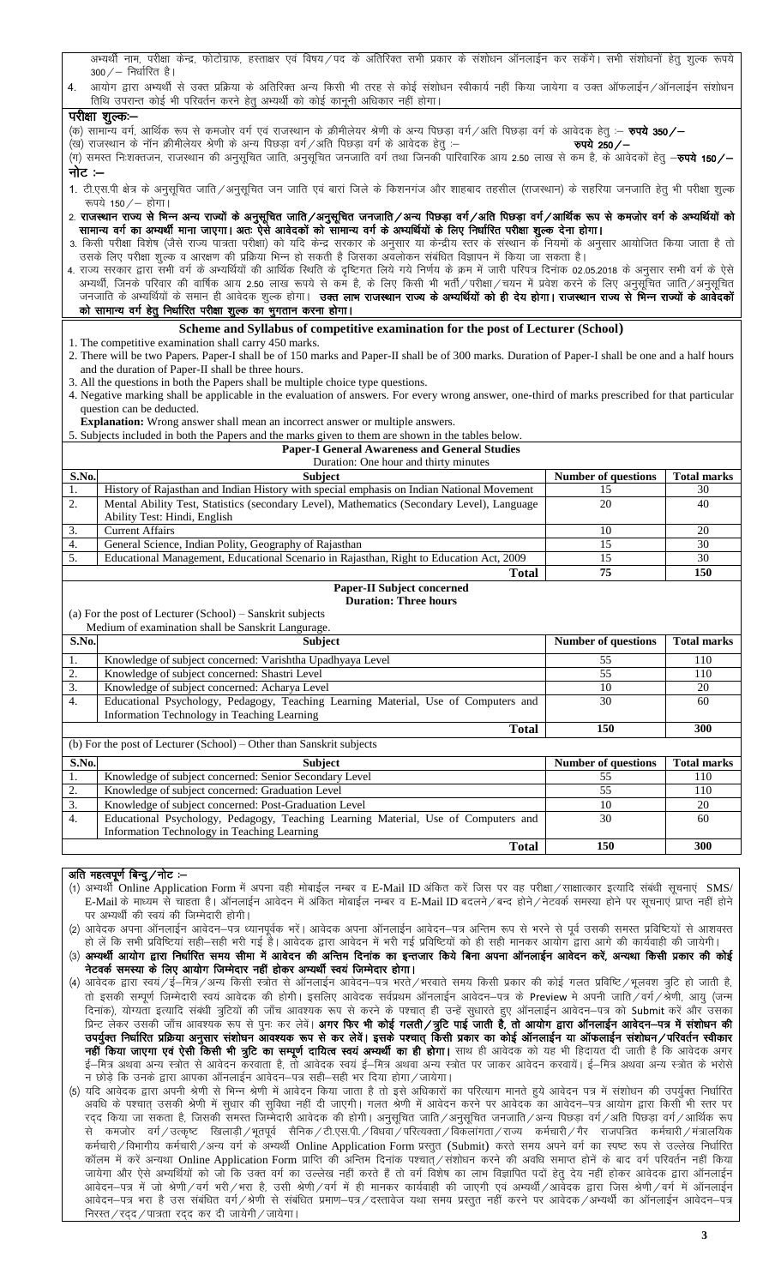|                  | अभ्यथी नाम, परीक्षा केन्द्र, फोटोग्राफ, हस्ताक्षर एवं विषय/पद के अतिरिक्त सभी प्रकार के संशोधन ऑनलाईन कर सकेंगे। सभी संशोधनों हेतु शुल्क रूपये<br>$300 / -$ निर्धारित है।                                                                                                           |                            |                    |  |  |  |  |  |  |  |
|------------------|-------------------------------------------------------------------------------------------------------------------------------------------------------------------------------------------------------------------------------------------------------------------------------------|----------------------------|--------------------|--|--|--|--|--|--|--|
|                  | आयोग द्वारा अभ्यर्थी से उक्त प्रक्रिया के अतिरिक्त अन्य किसी भी तरह से कोई संशोधन स्वीकार्य नहीं किया जायेगा व उक्त ऑफलाईन/ऑनलाईन संशोधन<br>4.                                                                                                                                      |                            |                    |  |  |  |  |  |  |  |
|                  | तिथि उपरान्त कोई भी परिवर्तन करने हेतु अभ्यर्थी को कोई कानूनी अधिकार नहीं होगा।                                                                                                                                                                                                     |                            |                    |  |  |  |  |  |  |  |
|                  | परीक्षा शुल्कः—                                                                                                                                                                                                                                                                     |                            |                    |  |  |  |  |  |  |  |
|                  | (क) सामान्य वर्ग, आर्थिक रूप से कमजोर वर्ग एवं राजस्थान के क्रीमीलेयर श्रेणी के अन्य पिछड़ा वर्ग/अति पिछड़ा वर्ग के आवेदक हेतु :- <b>रुपये 350/-</b>                                                                                                                                |                            |                    |  |  |  |  |  |  |  |
|                  | .<br>(ख) राजस्थान के नॉन क्रीमीलेयर श्रेणी के अन्य पिछड़ा वर्ग / अति पिछड़ा वर्ग के आवेदक हेतु :–                                                                                                                                                                                   | रुपये 250/-                |                    |  |  |  |  |  |  |  |
|                  | .<br>(ग) समस्त निःशक्तजन, राजस्थान की अनुसूचित जाति, अनुसूचित जनजाति वर्ग तथा जिनकी पारिवारिक आय 2.50 लाख से कम है, के आवेदकों हेतु — <b>रुपये 150/—</b>                                                                                                                            |                            |                    |  |  |  |  |  |  |  |
| नोट :–           |                                                                                                                                                                                                                                                                                     |                            |                    |  |  |  |  |  |  |  |
|                  | 1. टी.एस.पी क्षेत्र के अनुसूचित जाति/अनुसूचित जन जाति एवं बारां जिले के किशनगंज और शाहबाद तहसील (राजस्थान) के सहरिया जनजाति हेतु भी परीक्षा शुल्क                                                                                                                                   |                            |                    |  |  |  |  |  |  |  |
|                  | रूपये 150/- होगा।                                                                                                                                                                                                                                                                   |                            |                    |  |  |  |  |  |  |  |
|                  | 2. राजस्थान राज्य से भिन्न अन्य राज्यों के अनुसूचित जाति/अनुसूचित जनजाति/अन्य पिछड़ा वर्ग/अति पिछड़ा वर्ग/आर्थिक रूप से कमजोर वर्ग के अभ्यर्थियों को                                                                                                                                |                            |                    |  |  |  |  |  |  |  |
|                  | सामान्य वर्ग का अभ्यर्थी माना जाएगा। अतः ऐसे आवेदकों को सामान्य वर्ग के अभ्यर्थियों के लिए निर्धारित परीक्षा शुल्क देना होगा।                                                                                                                                                       |                            |                    |  |  |  |  |  |  |  |
|                  | 3. किसी परीक्षा विशेष (जैसे राज्य पात्रता परीक्षा) को यदि केन्द्र सरकार के अनुसार या केन्द्रीय स्तर के संस्थान के नियमों के अनुसार आयोजित किया जाता है तो                                                                                                                           |                            |                    |  |  |  |  |  |  |  |
|                  | उसके लिए परीक्षा शुल्क व आरक्षण की प्रक्रिया भिन्न हो सकती है जिसका अवलोकन संबंधित विज्ञापन में किया जा सकता है।<br>4. राज्य सरकार द्वारा सभी वर्ग के अभ्यर्थियों की आर्थिक स्थिति के दृष्टिगत लिये गये निर्णय के ज्ञम में जारी परिपत्र दिनांक 02.05.2018 के अनुसार सभी वर्ग के ऐसे |                            |                    |  |  |  |  |  |  |  |
|                  | अभ्यर्थी, जिनके परिवार की वार्षिक आय 2.50 लाख रूपये से कम है, के लिए किसी भी भर्ती/परीक्षा/चयन में प्रवेश करने के लिए अनुसूचित जाति/अनुसूचित                                                                                                                                        |                            |                    |  |  |  |  |  |  |  |
|                  | जनजाति के अभ्यर्थियों के समान ही आवेदक शुल्क होगा। <b>उक्त लाभ राजस्थान राज्य के अभ्यर्थियों को ही देय होगा। राजस्थान राज्य से भिन्न राज्यों के आवेदकों</b>                                                                                                                         |                            |                    |  |  |  |  |  |  |  |
|                  | को सामान्य वर्ग हेतु निर्धारित परीक्षा शुल्क का भुगतान करना होगा।                                                                                                                                                                                                                   |                            |                    |  |  |  |  |  |  |  |
|                  | Scheme and Syllabus of competitive examination for the post of Lecturer (School)                                                                                                                                                                                                    |                            |                    |  |  |  |  |  |  |  |
|                  | 1. The competitive examination shall carry 450 marks.                                                                                                                                                                                                                               |                            |                    |  |  |  |  |  |  |  |
|                  | 2. There will be two Papers. Paper-I shall be of 150 marks and Paper-II shall be of 300 marks. Duration of Paper-I shall be one and a half hours                                                                                                                                    |                            |                    |  |  |  |  |  |  |  |
|                  | and the duration of Paper-II shall be three hours.                                                                                                                                                                                                                                  |                            |                    |  |  |  |  |  |  |  |
|                  | 3. All the questions in both the Papers shall be multiple choice type questions.                                                                                                                                                                                                    |                            |                    |  |  |  |  |  |  |  |
|                  | 4. Negative marking shall be applicable in the evaluation of answers. For every wrong answer, one-third of marks prescribed for that particular                                                                                                                                     |                            |                    |  |  |  |  |  |  |  |
|                  | question can be deducted.<br>Explanation: Wrong answer shall mean an incorrect answer or multiple answers.                                                                                                                                                                          |                            |                    |  |  |  |  |  |  |  |
|                  | 5. Subjects included in both the Papers and the marks given to them are shown in the tables below.                                                                                                                                                                                  |                            |                    |  |  |  |  |  |  |  |
|                  | <b>Paper-I General Awareness and General Studies</b>                                                                                                                                                                                                                                |                            |                    |  |  |  |  |  |  |  |
|                  |                                                                                                                                                                                                                                                                                     |                            |                    |  |  |  |  |  |  |  |
|                  | Duration: One hour and thirty minutes                                                                                                                                                                                                                                               |                            |                    |  |  |  |  |  |  |  |
| S.No.            | Subject                                                                                                                                                                                                                                                                             | <b>Number of questions</b> | <b>Total marks</b> |  |  |  |  |  |  |  |
| 1.               | History of Rajasthan and Indian History with special emphasis on Indian National Movement                                                                                                                                                                                           | 15                         | 30                 |  |  |  |  |  |  |  |
| 2.               | Mental Ability Test, Statistics (secondary Level), Mathematics (Secondary Level), Language                                                                                                                                                                                          | 20                         | 40                 |  |  |  |  |  |  |  |
|                  | Ability Test: Hindi, English                                                                                                                                                                                                                                                        |                            |                    |  |  |  |  |  |  |  |
| 3.               | <b>Current Affairs</b>                                                                                                                                                                                                                                                              | 10                         | 20                 |  |  |  |  |  |  |  |
| $\overline{4}$ . | General Science, Indian Polity, Geography of Rajasthan                                                                                                                                                                                                                              | 15                         | 30                 |  |  |  |  |  |  |  |
| 5.               | Educational Management, Educational Scenario in Rajasthan, Right to Education Act, 2009                                                                                                                                                                                             | 15                         | 30                 |  |  |  |  |  |  |  |
|                  | <b>Total</b>                                                                                                                                                                                                                                                                        | 75                         | 150                |  |  |  |  |  |  |  |
|                  | <b>Paper-II Subject concerned</b>                                                                                                                                                                                                                                                   |                            |                    |  |  |  |  |  |  |  |
|                  | <b>Duration: Three hours</b><br>(a) For the post of Lecturer (School) – Sanskrit subjects                                                                                                                                                                                           |                            |                    |  |  |  |  |  |  |  |
|                  | Medium of examination shall be Sanskrit Langurage.                                                                                                                                                                                                                                  |                            |                    |  |  |  |  |  |  |  |
| S.No.            | <b>Subject</b>                                                                                                                                                                                                                                                                      | <b>Number of questions</b> | <b>Total marks</b> |  |  |  |  |  |  |  |
| 1.               | Knowledge of subject concerned: Varishtha Upadhyaya Level                                                                                                                                                                                                                           | 55                         | 110                |  |  |  |  |  |  |  |
| 2.               | Knowledge of subject concerned: Shastri Level                                                                                                                                                                                                                                       | 55                         | 110                |  |  |  |  |  |  |  |
| 3.               | Knowledge of subject concerned: Acharya Level                                                                                                                                                                                                                                       | $10\,$                     | 20                 |  |  |  |  |  |  |  |
| 4.               | Educational Psychology, Pedagogy, Teaching Learning Material, Use of Computers and                                                                                                                                                                                                  | 30                         | 60                 |  |  |  |  |  |  |  |
|                  | Information Technology in Teaching Learning                                                                                                                                                                                                                                         |                            |                    |  |  |  |  |  |  |  |
|                  | <b>Total</b>                                                                                                                                                                                                                                                                        | 150                        | 300                |  |  |  |  |  |  |  |
|                  | (b) For the post of Lecturer (School) – Other than Sanskrit subjects                                                                                                                                                                                                                |                            |                    |  |  |  |  |  |  |  |
| S.No.            | Subject                                                                                                                                                                                                                                                                             | <b>Number of questions</b> | <b>Total marks</b> |  |  |  |  |  |  |  |
| 1.               | Knowledge of subject concerned: Senior Secondary Level                                                                                                                                                                                                                              | 55                         | 110                |  |  |  |  |  |  |  |
| $\mathbf{2}$ .   | Knowledge of subject concerned: Graduation Level                                                                                                                                                                                                                                    | 55                         | 110                |  |  |  |  |  |  |  |
| 3.               | Knowledge of subject concerned: Post-Graduation Level                                                                                                                                                                                                                               | 10                         | 20                 |  |  |  |  |  |  |  |
| 4.               | Educational Psychology, Pedagogy, Teaching Learning Material, Use of Computers and                                                                                                                                                                                                  | 30                         | 60                 |  |  |  |  |  |  |  |
|                  | Information Technology in Teaching Learning                                                                                                                                                                                                                                         | 150                        | 300                |  |  |  |  |  |  |  |
|                  | <b>Total</b>                                                                                                                                                                                                                                                                        |                            |                    |  |  |  |  |  |  |  |

## अति महत्वपूर्ण बिन्दु / नोट :–

(1) अभ्यर्थी Online Application Form में अपना वही मोबाईल नम्बर व E-Mail ID अंकित करें जिस पर वह परीक्षा / साक्षात्कार इत्यादि संबंधी सूचनाएं SMS/ E-Mail के माध्यम से चाहता है। ऑनलाईन आवेदन में अंकित मोबाईल नम्बर व E-Mail ID बदलने/बन्द होने/नेटवर्क समस्या होने पर सूचनाएं प्राप्त नहीं होने पर अभ्यर्थी की स्वयं की जिम्मेदारी होगी।

(2) आवेदक अपना ऑनलाईन आवेदन–पत्र ध्यानपूर्वक भरें। आवेदक अपना ऑनलाईन आवेदन–पत्र अन्तिम रूप से भरने से पूर्व उसकी समस्त प्रविष्टियों से आशवस्त हो लें कि सभी प्रविष्टियां सही–सही भरी गई हैं। आवेदक द्वारा आवेदन में भरी गई प्रविष्टियों को ही सही मानकर आयोग द्वारा आगे की कार्यवाही की जायेगी।

(3) अभ्यर्थी आयोग द्वारा निर्धारित समय सीमा में आवेदन की अन्तिम दिनांक का इन्तजार किये बिना अपना ऑनलाईन आवेदन करें, अन्यथा किसी प्रकार की कोई नेटवर्क समस्या के लिए आयोग जिम्मेदार नहीं होकर अभ्यर्थी स्वयं जिम्मेदार होगा।

- (4) आवेदक द्वारा स्वयं/ई–मित्र/अन्य किसी स्त्रोत से ऑनलाईन आवेदन–पत्र भरते/भरवाते समय किसी प्रकार की कोई गलत प्रविष्टि/भूलवश त्रुटि हो जाती है, तो इसकी सम्पूर्ण जिम्मेदारी स्वयं आवेदक की होगी। इसलिए आवेदक सर्वप्रथम ऑनलाईन आवेदन–पत्र के Preview मे अपनी जाति ⁄वर्ग⁄श्रेणी, आयु (जन्म दिनांक), योग्यता इत्यादि संबंधी त्रुटियों की जाँच आवश्यक रूप से करने के पश्चात् ही उन्हें सुधारते हुए ऑनलाईन आवेदन—पत्र को Submit करें और उसका प्रिन्ट लेकर उसकी जाँच आवश्यक रूप से पुनः कर लेवें। अगर फिर भी कोई गलती /त्रुटि पाई जाती है, तो आयोग द्वारा ऑनलाईन आवेदन-पत्र में संशोधन की<br>उपर्युक्त निर्धारित प्रक्रिया अनुसार संशोधन आवश्यक रूप से कर लेवें। इसके पश्चात् राष्ट्रात समारत कामना गुरुवार तताने मानरनेके रहे तो कर राना रसके समार कर का कार को कार की मानरार समान है। ततान<br>**नहीं किया जाएगा एवं ऐसी किसी भी त्रुटि का सम्पूर्ण दायित्व स्वयं अभ्यर्थी का ही होगा।** साथ ही आवेदक को यह भी .<br>न छोड़े कि उनके द्वारा आपका ऑनलाईन आवेदन–पत्र सही–सही भर दिया होगा / जायेगा।
- (5) यदि आवेदक द्वारा अपनी श्रेणी से भिन्न श्रेणी में आवेदन किया जाता है तो इसे अधिकारों का परित्याग मानते हुये आवेदन पत्र में संशोधन की उपर्युक्त निर्धारित<br>अवधि के पश्चात् उसकी श्रेणी में सुधार की सुविधा नहीं दी जाएगी। गल रद्द किया जा सकता है, जिसकी समस्त जिम्मेदारी आवेदक की होगी। अनुसूचित जाति/अनुसूचित जनजाति/अन्य पिछड़ा वर्ग/अति पिछड़ा वर्ग/आर्थिक रूप कमजोर वर्ग∕उत्कृष्ट खिलाड़ी∕भूतपूर्व सैनिक∕टी.एस.पी.∕विधवा∕परित्यक्ता∕विकलांगता∕राज्य कर्मचारी∕गैर राजपत्रित कर्मचारी∕मंत्रालयिक से कर्मचारी / विभागीय कर्मचारी / अन्य वर्ग के अभ्यर्थी Online Application Form प्रस्तुत (Submit) करते समय अपने वर्ग का स्पष्ट रूप से उल्लेख निर्धारित कॉलम में करें अन्यथा Online Application Form प्राप्ति की अन्तिम दिनांक पश्चात्/संशोधन करने की अवधि समाप्त होनें के बाद वर्ग परिवर्तन नहीं किया जायेगा और ऐसे अभ्यर्थियों को जो कि उक्त वर्ग का उल्लेख नहीं करते हैं तो वर्ग विशेष का लाभ विज्ञापित पदों हेतु देय नहीं होकर आवेदक द्वारा ऑनलाईन आवेदन—पत्र में जो श्रेणी∕वर्ग भरी∕भरा है, उसी श्रेणी∕वर्ग में ही मानकर कार्यवाही की जाएगी एवं अभ्यर्थी∕आवेदक द्वारा जिस श्रेणी∕वर्ग में ऑनलाईन आवेदन—पत्र भरा है उस संबंधित वर्ग/श्रेणी से संबंधित प्रमाण—पत्र/दस्तावेज यथा समय प्रस्तुत नहीं करने पर आवेदक/अभ्यर्थी का ऑनलाईन आवेदन—पत्र निरस्त / रद्द / पात्रता रद्द कर दी जायेगी / जायेगा।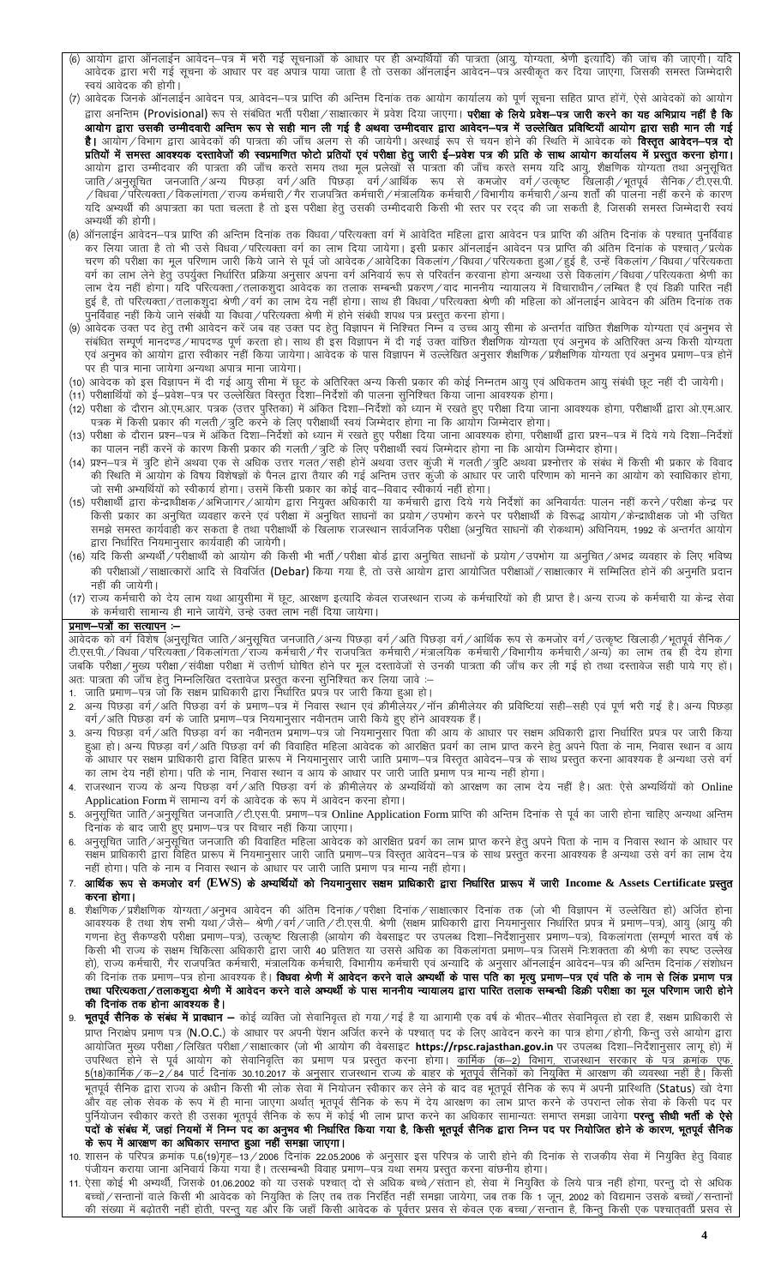- (6) आयोग द्वारा ऑनलाईन आवेदन–पत्र में भरी गई सूचनाओं के आधार पर ही अभ्यर्थियों की पात्रता (आयु, योग्यता, श्रेणी इत्यादि) की जांच की जाएगी। यदि आवेदक द्वारा भरी गई सूचना के आधार पर वह अपात्र पाया जाता है तो उसका ऑनलाईन आवेदन–पत्र अस्वीकृत कर दिया जाएगा, जिसकी समस्त जिम्मेदारी स्वयं आवेदक की होगी।
- (7) आवेदक जिनके ऑनलाईन आवेदन पत्र, आवेदन–पत्र प्राप्ति की अन्तिम दिनांक तक आयोग कार्यालय को पूर्ण सूचना सहित प्राप्त होंगें, ऐसे आवेदकों को आयोग द्वारा अनन्तिम (Provisional) रूप से संबंधित भर्ती परीक्षा/साक्षात्कार में प्रवेश दिया जाएगा। **परीक्षा के लिये प्रवेश—पत्र जारी करने का यह अभिप्राय नहीं है कि** आयोग द्वारा उसकी उम्मीदवारी अन्तिम रूप से सही मान ली गई है अथवा उम्मीदवार द्वारा आवेदन–पत्र में उल्लेखित प्रविष्टियाँ आयोग द्वारा सही मान ली गई **है।** आयोग/विभाग द्वारा आवेदकों की पात्रता की जाँच अलग से की जायेगी। अस्थाई रूप से चयन होने की स्थिति में आवेदक को **विस्तृत आवेदन—पत्र दो** प्रतियों में समस्त आवश्यक दस्तावेजों की स्वप्रमाणित फोटो प्रतियों एवं परीक्षा हेतु जारी ई–प्रवेश पत्र की प्रति के साथ आयोग कार्यालय में प्रस्तुत करना होगा। प्रांतचा न तनस्त जापस्यक परतापणा का स्पर्भनागत काल प्रांतचा रूप नतला हुए जारा इन्प्रयरा पत्र का प्रांत कालान कालान कालान करपुत करना हाना।<br>आयोग द्वारा उम्मीदवार की पात्रता की जाँच करते समय तथा मूल प्रलेखों से पात्रता की जा यदि अभ्यर्थी की अपात्रता का पता चलता है तो इस परीक्षा हेतु उसकी उम्मीदवारी किसी भी स्तर पर रद्द की जा सकती है, जिसकी समस्त जिम्मेदारी स्वयं अभ्यर्थी की होगी।
- (8) ऑनलाईन आवेदन–पत्र प्राप्ति की अन्तिम दिनांक तक विधवा/परित्यक्ता वर्ग में आवेदित महिला द्वारा आवेदन पत्र प्राप्ति की अंतिम दिनांक के पश्चात् पुनर्विवाह कर लिया जाता है तो भी उसे विधवा/परित्यक्ता वर्ग का लाभ दिया जायेगा। इसी प्रकार ऑनलाईन आवेदन पत्र प्राप्ति की अंतिम दिनांक के पश्चात्/प्रत्येक चरण की परीक्षा का मूल परिणाम जारी किये जाने से पूर्व जो आवेदक/आवेदिका विकलांग/विधवा/परित्यकता हुआ/हुई है, उन्हें विकलांग/विधवा/परित्यकता वर्ग का लाभ लेने हेतु उपर्युक्त निर्धारित प्रक्रिया अनुसार अपना वर्ग अनिवार्य रूप से परिवर्तन करवाना होगा अन्यथा उसे विकलांग/विधवा/परित्यकता श्रेणी का लाभ देय नहीं होगा। यदि परित्यक्ता/तलाकशुदा आवेदक का तलाक सम्बन्धी प्रकरण/वाद माननीय न्यायालय में विचाराधीन/लम्बित है एवं डिक्री पारित नहीं
- ्ति । स्थान का स्थान का स्थान करने का स्थान के स्थान स्थान के अन्य का स्थान के अन्तर्गत वांछित शैक्षणिक योग्यता एवं अनुभव से (9) आवेदक उक्त पद हेतु तभी आवेदन करें जब वह उक्त पद हेतु उस<br>संबंधित सम्पूर्ण मानदण्ड ⁄ मापदण्ड पर ही पात्र माना जायेगा अन्यथा अपात्र माना जायेगा।
- (10) आवेदक को इस विज्ञापन में दी गई आयु सीमा में छूट के अतिरिक्त अन्य किसी प्रकार की कोई निम्नतम आयु एवं अधिकतम आयु संबंधी छूट नहीं दी जायेगी। .<br>(11) परीक्षार्थियों को ई—प्रवेश—पत्र पर उल्लेखित विस्तृत दिशा—निर्देशों की पालना सुनिश्चित किया जाना आवश्यक होगा।
- .<br>(12) परीक्षा के दौरान ओ.एम.आर. पत्रक (उत्तर पुस्तिका) में अंकित दिशा—निर्देशों को ध्यान में रखते हुए परीक्षा दिया जाना आवश्यक होगा, परीक्षार्थी द्वारा ओ.एम.आर. पत्रक में किसी प्रकार की गलती/त्रुटि करने के लिए परीक्षार्थी स्वयं जिम्मेदार होगा ना कि आयोग जिम्मेदार होगा।
- (13) परीक्षा के दौरान प्रश्न–पत्र में अंकित दिशा–निर्देशों को ध्यान में रखते हुए परीक्षा दिया जाना आवश्यक होगा, परीक्षार्थी द्वारा प्रश्न–पत्र में दिये गये दिशा–निर्देशों स्यामान नहीं करने के कारण किसी प्रकार की गलती ∕त्रुटि के लिए परीक्षार्थी स्वयं जिम्मेदार होगा ना कि आयोग जिम्मेदार होगा।
- (14) प्रश्न—पत्र में त्रुटि होनें अथवा एक से अधिक उत्तर गलत गंसही होनें अथवा उत्तर कुंजी में गलती ⁄ त्रुटि अथवा प्रश्नोत्तर के संबंध में किसी भी प्रकार के विवाद की स्थिति में आयोग के विषय विशेषज्ञों के पैनल द्वारा तैयार की गई अन्तिम उत्तर कुंजी के आधार पर जारी परिणाम को मानने का आयोग को स्वाधिकार होगा, जो सभी अभ्यर्थियों को स्वीकार्य होगा। उसमें किसी प्रकार का कोई वाद—विवाद स्वीकार्य नहीं होगा।
- (15) परीक्षार्थी द्वारा केन्द्राधीक्षक /अभिजागर /आयोग द्वारा नियुक्त अधिकारी या कर्मचारी द्वारा दिये गये निर्देशों का अनिवार्यतः पालन नहीं करने /परीक्षा केन्द्र पर किसी प्रकार का अनुचित व्यवहार करने एवं परीक्षा में अनुचित साधनों का प्रयोग/उपभोग करने पर परीक्षार्थी के विरूद्ध आयोग/केन्द्राधीक्षक जो भी उचित समझे समस्त कार्यवाही कर सकता है तथा परीक्षार्थी के खिलाफ राजस्थान सार्वजनिक परीक्षा (अनुचित साधनों की रोकथाम) अधिनियम, 1992 के अन्तर्गत आयोग द्वारा निर्धारित नियमानुसार कार्यवाही की जायेगी।
- (16) यदि किसी अभ्यर्थी/परीक्षार्थी को आयोग की किसी भी भर्ती/परीक्षा बोर्ड द्वारा अनुचित साधनों के प्रयोग/उपभोग या अनुचित/अभद्र व्यवहार के लिए भविष्य की परीक्षाओं / साक्षात्कारों आदि से विवर्जित (Debar) किया गया है, तो उसे आयोग द्वारा आयोजित परीक्षाओं / साक्षात्कार में सम्मिलित होनें की अनुमति प्रदान नहीं की जायेगी।
- (17) राज्य कर्मचारी को देय लाभ यथा आयुसीमा में छूट, आरक्षण इत्यादि केवल राजस्थान राज्य के कर्मचारियों को ही प्राप्त है। अन्य राज्य के कर्मचारी या केन्द्र सेवा के कर्मचारी सामान्य ही माने जायेंगे, उन्हे उक्त लाभ नहीं दिया जायेगा।

### प्रमाण-पत्रों का सत्यापन :-

आवेदक को वर्ग विशेष (अनुसूचित जाति ⁄ अनुसूचित जनजाति ⁄ अन्य पिछड़ा वर्ग ⁄ अति पिछड़ा वर्ग ⁄ आर्थिक रूप से कमजोर वर्ग ⁄ उत्कृष्ट खिलाड़ी ⁄ भूतपूर्व सैनिक ⁄ टी एस.पी. / विधवा / परित्यक्ता / विकलांगता / राज्य कर्मचारी / गैर राजपत्रित कर्मचारी / मंत्रालयिक कर्मचारी / विभागीय कर्मचारी / अन्य) का लाभ तब ही देय होगा जबकि परीक्षा /मुख्य परीक्षा /संवीक्षा परीक्षा में उत्तीर्ण घोषित होने पर मूल दस्तावेजों से उनकी पात्रता की जाँच कर ली गई हो तथा दस्तावेज सही पाये गए हों। अतः पात्रता की जाँच हेतु निम्नलिखित दस्तावेज प्रस्तुत करना सुनिश्चित कर लिया जावे :-

- 1. जाति प्रमाण–पत्र जो कि सक्षम प्राधिकारी द्वारा निर्धारित प्रपत्र पर जारी किया हुआ हो।
- 2. अन्य पिछड़ा वर्ग∕अति पिछड़ा वर्ग के प्रमाण−पत्र में निवास स्थान एवं क्रीमीलेय∕नॉन क्रीमीलेयर की प्रविष्टियां सही–सही एवं पूर्ण भरी गई है। अन्य पिछड़ा वर्ग/अति पिछड़ा वर्ग के जाति प्रमाण-पत्र नियमानुसार नवीनतम जारी किये हुए होंने आवश्यक हैं।
- अन्य पिछड़ा वर्ग/अति पिछड़ा वर्ग का नवीनतम प्रमाण—पत्र जो नियमानुसार पिता की आय के आधार पर सक्षम अधिकारी द्वारा निर्धारित प्रपत्र पर जारी किया हुआ हो। अन्य पिछड़ा वर्ग/अति पिछड़ा वर्ग की विवाहित महिला आवेदक को आरक्षित प्रवर्ग का लाभ प्राप्त करने हेतु अपने पिता के नाम, निवास स्थान व आय .<br>के आधार पर सक्षम प्राधिकारी द्वारा विहित प्रारूप में नियमानुसार जारी जाति प्रमाण–पत्र विस्तृत आवेदन–पत्र के साथ प्रस्तुत करना आवश्यक है अन्यथा उसे वर्ग का लाभ देय नहीं होगा। पति के नाम, निवास स्थान व आय के आधार पर जारी जाति प्रमाण पत्र मान्य नहीं होगा।
- 4. राजस्थान राज्य के अन्य पिछड़ा वर्ग/अति पिछड़ा वर्ग के क्रीमीलेयर के अभ्यर्थियों को आरक्षण का लाभ देय नहीं है। अतः ऐसे अभ्यर्थियों को Online Application Form में सामान्य वर्ग के आवेदक के रूप में आवेदन करना होगा।
- अनुसूचित जाति/अनुसूचित जनजाति/टी.एस.पी. प्रमाण-पत्र Online Application Form प्राप्ति की अन्तिम दिनांक से पूर्व का जारी होना चाहिए अन्यथा अन्तिम 5. दिनांक के बाद जारी हुए प्रमाण-पत्र पर विचार नहीं किया जाएगा।
- अनुसूचित जाति/अनुसूचित जनजाति की विवाहित महिला आवेदक को आरक्षित प्रवर्ग का लाभ प्राप्त करने हेतु अपने पिता के नाम व निवास स्थान के आधार पर 6. सक्षम प्राधिकारी द्वारा विहित प्रारूप में नियमानुसार जारी जाति प्रमाण–पत्र विस्तृत आवेदन–पत्र के साथ प्रस्तुत करना आवश्यक है अन्यथा उसे वर्ग का लाभ देय<br>नहीं होगा। पति के नाम व निवास स्थान के आधार पर जारी जाति प्रमाण पत्र
- 7. आर्थिक रूप से कमजोर वर्ग (EWS) के अभ्यर्थियों को नियमानुसार सक्षम प्राधिकारी द्वारा निर्धारित प्रारूप में जारी Income & Assets Certificate प्रस्तुत करना होगा।
- शैक्षणिक / प्रशैक्षणिक योग्यता /अनुभव आवेदन की अंतिम दिनांक / परीक्षा दिनांक / साक्षात्कार दिनांक तक (जो भी विज्ञापन में उल्लेखित हो) अर्जित होना 8. राया गर? त्रांचा गर आ आए जाने आये कि आरोप गर्व गर? कार्या गरे गर? रायारिकर गरे गरे राय राज गर्वन गरी उरलाखरा ल<br>आवश्यक है तथा शेष सभी यथा /जैसे– श्रेणी /वर्ग /जाति /टी.एस.पी. श्रेणी (सक्षम प्राधिकारी द्वारा नियमानुसार निर् किसी भी राज्य के सक्षम चिकित्सा अधिकारी द्वारा जारी 40 प्रतिशत या उससे अधिक का विकलांगता प्रमाण-पत्र जिसमें निःशक्तता की श्रेणी का स्पष्ट उल्लेख हो), राज्य कर्मचारी, गैर राजपत्रित कर्मचारी, मंत्रालयिक कर्मचारी, विभागीय कर्मचारी एवं अन्यादि के अनुसार ऑनलाईन आवेदन—पत्र की अन्तिम दिनांक ⁄ संशोधन .<br>की दिनांक तक प्रमाण—पत्र होना आवश्यक है। **विधवा श्रेणी में आवेदन करने वाले अभ्यर्थी के पास पति का मृत्यु प्रमाण—पत्र**<br>तथा परित्यकता/तलाकशुदा श्रेणी में आवेदन करने वाले अभ्यर्थी के पास माननीय न्यायालय द्वारा पारित तलाक स की दिनांक तक होना आवश्यक है।
- 9. **भूतपूर्व सैनिक के संबंध में प्रावधान —** कोई व्यक्ति जो सेवानिवृत्त हो गया/गई है या आगामी एक वर्ष के भीतर—भीतर सेवानिवृत्त हो रहा है, सक्षम प्राधिकारी से ......<br>प्राप्त निराक्षेप प्रमाण पत्र (N.O.C.) के आधार पर अपनी पेंशन अर्जित करने के पश्चात् पद के लिए आवेदन करने का पात्र होगा / होगी, किन्तु उसे आयोग द्वारा आयोजित मुख्य परीक्षा / लिखित परीक्षा / साक्षात्कार (जो भी आयोग की वेबसाइट **https://rpsc.rajasthan.gov.in** पर उपलब्ध दिशा—निर्देशानुसार लागू हो) में उपस्थित होने से पूर्व आयोग को सेवानिवृत्ति का प्रमाण पत्र प्रस्तुत करना होगा। <u>कार्मिक (क–2) विभाग, राजस्थान सरकार के पत्र क्रमांक एफ</u> <u>5(18)कार्मिक / क–2 / 84 पार्ट दिनांक 30.10.2017 के अनुसार राजस्थान राज्य के बाहर के भूतपूर्व सैनिकों को नियुक्ति में आरक्षण की व्यवस्था नहीं है।</u> किसी भूतपूर्व सैनिक द्वारा राज्य के अधीन किसी भी लोक सेवा में नियोजन स्वीकार कर लेने के बाद वह भूतपूर्व सैनिक के रूप में अपनी प्रास्थिति (Status) खो देगा रूप हैं। यह दोन से मान में का सामान आया है कि सामान का सामान करने का सामान है है। यह करने के उपरान्त लोक सेवा के किसी पद पर<br>और वह लोक सेवक के रूप में ही माना जाएगा अर्थात् भूतपूर्व सैनिक के रूप में देय आरक्षण का लाभ प्राप पदों के संबंध में, जहां नियमों में निम्न पद का अनुभव भी निर्धारित किया गया है, किसी भूतपूर्व सैनिक द्वारा निम्न पद पर नियोजित होने के कारण, भूतपूर्व सैनिक के रूप में आरक्षण का अधिकार समाप्त हुआ नहीं समझा जाएगा।
- 10. शासन के परिपत्र क्रमांक प.6(19)गृह–13/2006 दिनांक 22.05.2006 के अनुसार इस परिपत्र के जारी होने की दिनांक से राजकीय सेवा में नियुक्ति हेतु विवाह पंजीयन कराया जाना अनिवार्य किया गया है। तत्सम्बन्धी विवाह प्रमाण-पत्र यथा समय प्रस्तुत करना वांछनीय होगा।
- 11. ऐसा कोई भी अभ्यर्थी, जिसके 01.06.2002 को या उसके पश्चात् दो से अधिक बच्चे/संतान हो, सेवा में नियुक्ति के लिये पात्र नहीं होगा, परन्तु दो से अधिक बच्चों / सन्तानों वाले किसी भी आवेदक को नियुक्ति के लिए तब तक निरर्हित नहीं समझा जायेगा, जब तक कि 1 जून, 2002 को विद्यमान उसके बच्चों / सन्तानों की संख्या में बढ़ोतरी नहीं होती, परन्तु यह और कि जहाँ किसी आवेदक के पूर्वतर प्रसव से केवल एक बच्चा/सन्तान है, किन्तु किसी एक पश्चात्वर्ती प्रसव से